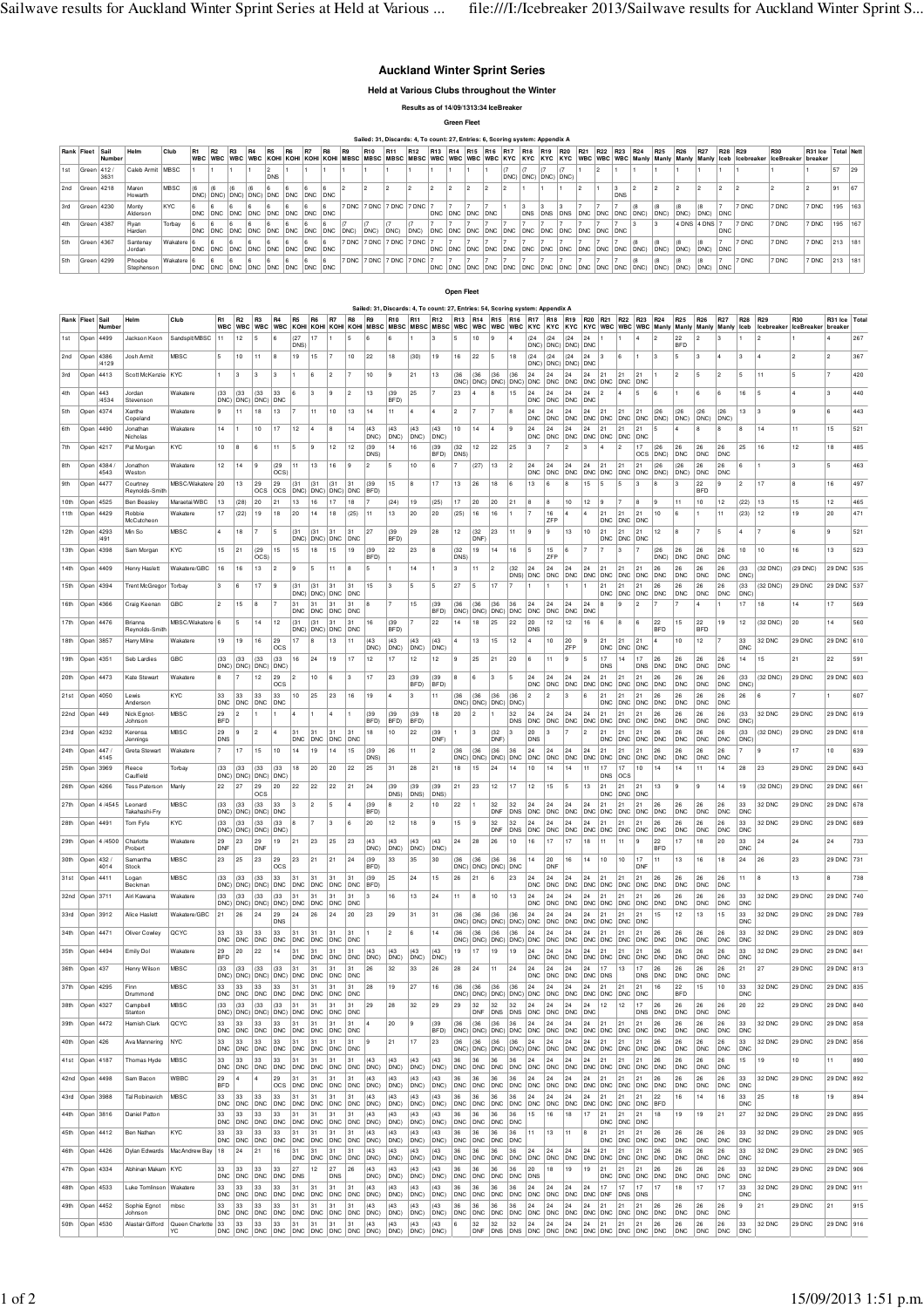## **Auckland Winter Sprint Series**

**Held at Various Clubs throughout the Winter**

**Results as of 14/09/1313:34 IceBreaker**

**Green Fleet**

|        |                 |        |                      |             |                |                |                |    |            |                                     |    |    |                |     |                 | Sailed: 31, Discards: 4, To count: 27, Entries: 6, Scoring system: Appendix A |                 |  |                                 |  |     |             |                                     |                 |      |               |     |                                                                                                                                                                                                     |       |                      |         |    |
|--------|-----------------|--------|----------------------|-------------|----------------|----------------|----------------|----|------------|-------------------------------------|----|----|----------------|-----|-----------------|-------------------------------------------------------------------------------|-----------------|--|---------------------------------|--|-----|-------------|-------------------------------------|-----------------|------|---------------|-----|-----------------------------------------------------------------------------------------------------------------------------------------------------------------------------------------------------|-------|----------------------|---------|----|
|        | Rank Fleet Sail | Number | Helm                 | Club        | R <sub>1</sub> | R <sub>2</sub> | R <sub>3</sub> | R4 | <b>R5</b>  | <b>R6</b>                           | R7 | R8 | R <sub>9</sub> | R10 | R <sub>11</sub> | R <sub>12</sub>                                                               |                 |  | R13 R14 R15 R16 R17 R18 R19 R20 |  | R21 | R22 R23 R24 |                                     | R <sub>25</sub> | R26  | R27           | R28 | R29<br>WBC  WBC  WBC  KOHI  KOHI  KOHI  KOHI  MBSC  MBSC  MBSC  MBSC  WBC  WBC  WBC  WBC  KYC  KYC  KYC  KYC  KYC  WBC  WBC  WBC  Manly  Manly  Manly  Manly  Ideb  Icebreaker  IceBreaker  breaker | R30   | R31 Ice   Total Nett |         |    |
| l 1 st | Green 412 /     | 3631   | Caleb Armit MBSC     |             |                |                |                |    | <b>DNS</b> |                                     |    |    |                |     |                 |                                                                               |                 |  | DNC) DNC) DNC) DNC)             |  |     |             |                                     |                 |      |               |     |                                                                                                                                                                                                     |       |                      | 57      | 29 |
|        | 2nd Green 4218  |        | Maren<br>Howarth     | <b>MBSC</b> |                |                |                |    |            | DNC) DNC) DNC) DNC) DNC DNC DNC DNC |    |    |                |     |                 |                                                                               |                 |  |                                 |  |     | <b>DNS</b>  |                                     |                 |      |               |     |                                                                                                                                                                                                     |       |                      | 91      | 67 |
| 3rd    | Green 4230      |        | Monty<br>Alderson    | <b>KYC</b>  |                |                |                |    |            | DNC DNC DNC DNC DNC DNC DNC DNC DNC |    |    |                |     |                 | 7 DNC 7 DNC 7 DNC 7 DNC 7                                                     | DNC DNC DNC DNC |  |                                 |  |     |             | DNS DNS DNS DNC DNC DNC DNC DNC DNC |                 | DNC) | DNC) DNC      |     | 7 DNC                                                                                                                                                                                               | 7 DNC | 7 DNC                | 195 163 |    |
| 4th    | Green 4387      |        | Ryan<br>Harden       | Torbay      |                |                |                |    |            |                                     |    |    |                |     | DNC)            | DNC)                                                                          |                 |  |                                 |  |     |             |                                     |                 |      | 4 DNS 4 DNS 7 |     | 7 DNC                                                                                                                                                                                               | 7 DNC | 7 DNC                | 195 167 |    |
|        | Green 4367      |        | Santenav<br>Jordan   | Wakatere 6  |                |                |                |    |            | DNC DNC DNC DNC DNC DNC DNC DNC DNC |    |    |                |     |                 | 7 DNC 7 DNC 7 DNC 7 DNC 7                                                     |                 |  |                                 |  |     |             |                                     |                 | DNC) | DNC) DNC      |     | 7 DNC                                                                                                                                                                                               | 7 DNC | 7 DNC                | 213 181 |    |
|        | Green 4299      |        | Phoebe<br>Stephenson | Wakatere 6  |                |                |                |    |            | DNC DNC DNC DNC DNC DNC DNC DNC DNC |    |    |                |     |                 | 7 DNC 7 DNC 7 DNC 7 DNC 7                                                     |                 |  |                                 |  |     |             |                                     |                 |      |               |     | 7 DNC                                                                                                                                                                                               | 7 DNC | 7 DNC                | 213 181 |    |

**Open Fleet**

|                 |                             |               |                               |                                               |                              |                    |                   |                           |                          |                                                       |                  |                  | Sailed: 31, Discards: 4, To count: 27, Entries: 54, Scoring system: Appendix A                                                                     |                      |                      |                      |                                                       |                |                                    |                  |                   |                  |                  |                                 |                                |                   |                                                                                                     |                          |                                |                                |                                |                          |                                      |                  |                          |            |
|-----------------|-----------------------------|---------------|-------------------------------|-----------------------------------------------|------------------------------|--------------------|-------------------|---------------------------|--------------------------|-------------------------------------------------------|------------------|------------------|----------------------------------------------------------------------------------------------------------------------------------------------------|----------------------|----------------------|----------------------|-------------------------------------------------------|----------------|------------------------------------|------------------|-------------------|------------------|------------------|---------------------------------|--------------------------------|-------------------|-----------------------------------------------------------------------------------------------------|--------------------------|--------------------------------|--------------------------------|--------------------------------|--------------------------|--------------------------------------|------------------|--------------------------|------------|
|                 | Rank Fleet Sail             | Number        | Helm                          | Club                                          | R <sub>1</sub><br><b>WBC</b> | R <sub>2</sub>     | R <sub>3</sub>    |                           | R <sub>5</sub>           | R <sub>6</sub>                                        | R7               | R <sub>8</sub>   | R <sub>9</sub><br>WBC WBC WBC KOHI KOHI KOHI KOHI MBSC MBSC MBSC MBSC WBC WBC WBC WBC KYC KYC KYC KYC WBC WBC WBC WBC Manly Manly Manly Manly Leeb | R10                  | R11                  | R12                  | R <sub>13</sub>                                       | R14            | R <sub>15</sub>                    | R <sub>16</sub>  | R <sub>17</sub>   | R <sub>18</sub>  | R <sub>19</sub>  | R <sub>20</sub> R <sub>21</sub> |                                | R22               | R23<br>R24                                                                                          |                          | R <sub>25</sub>                | <b>R26</b>                     | R27                            | <b>R28</b>               | R29<br>Icebreaker IceBreaker breaker | R30              | R31 Ice                  | Tota       |
| 1st             | Open                        | 4499          | Jackson Keon                  | Sandspit/MBSC                                 | 11                           | 12                 |                   |                           | (27)<br>DNS <sup>®</sup> |                                                       |                  |                  |                                                                                                                                                    |                      |                      |                      |                                                       | 10             |                                    |                  | DNC)              | (24)<br>DNC)     | (24)<br>DNC)     | 24<br>DNC                       |                                |                   |                                                                                                     |                          | 22<br><b>BFD</b>               |                                |                                |                          |                                      |                  |                          | 267        |
| 2 <sub>nd</sub> | Open                        | 4386<br>/4129 | Josh Armi                     | MBSC                                          | 5                            | 10                 | 11                | 8                         | 19                       | 15                                                    |                  | 10               | 22                                                                                                                                                 | 18                   | (30)                 | 19                   | 16                                                    | 22             | 5                                  | 18               | (24)<br>DNC)      | (24)<br>DNC)     | (24)<br>DNC      | 24<br><b>DNC</b>                | 3                              |                   | 3                                                                                                   |                          | 5                              | 3                              |                                | 3                        |                                      |                  | 2                        | 367        |
| 3rd             | Open                        | 4413          | Scott McKenzie                | KYC                                           |                              | 3                  | 3                 | 3                         |                          | 6                                                     | 2                |                  | 10                                                                                                                                                 |                      | 21                   | 13                   | (36)<br>DNC)                                          | (36)<br>DNC)   | (36)<br>DNC)                       | (36)<br>DNC)     | 24<br><b>DNC</b>  | 24<br><b>DNC</b> | 24<br><b>DNC</b> | 24<br>DNC DNC                   | 21                             | <b>DNC</b>        | 21<br><b>DNC</b>                                                                                    |                          | $\overline{2}$                 | 5                              | 2                              | 5                        | 11                                   |                  | 17                       | 420        |
| 4th             | Open                        | 443<br>/4534  | Jordan<br>Stevensor           | Wakatere                                      | (33)<br>DNC)                 | (33)<br><b>DNC</b> | (33)<br>DNC)      | 33<br><b>DNC</b>          | 6                        | 3                                                     | 9                | 2                | 13                                                                                                                                                 | (39)<br>BFD!         | 25                   |                      | 23                                                    | $\overline{a}$ | 8                                  | 15               | 24<br><b>DNC</b>  | 24<br>DNC        | 24<br><b>DNC</b> | 24<br><b>DNC</b>                | $\overline{2}$                 |                   | $\mathbf{6}$                                                                                        |                          |                                |                                | 6                              | 16                       | 5                                    |                  | 3                        | 440        |
| 5th             | Open                        | 4374          | Xanthe<br>Copeland            | Wakatere                                      | 9                            | 11                 | 18                | 13                        |                          | 11                                                    | 10               | 13               | 14                                                                                                                                                 | 11                   | $\overline{4}$       | $\overline{4}$       | $\overline{2}$                                        | $\overline{7}$ | 7                                  | l 8              | 24<br><b>DNC</b>  | 24<br><b>DNC</b> | 24<br><b>DNC</b> | 24<br>DNC DNC                   | 21                             | 21<br><b>DNC</b>  | 21<br>(26)<br><b>DNC</b>                                                                            | DNC)                     | (26)<br>DNC:                   | (26)<br>DNC <sub>1</sub>       | (26)<br><b>DNC</b>             | 13                       | 3                                    | 9                | l 6                      | 443        |
| 6th             | Open                        | 4490          | Jonathar<br>Nicholas          | Wakatere                                      | 14                           |                    | 10                | 17                        | 12                       |                                                       | 8                | 14               | (43)<br>DNC)                                                                                                                                       | (43)<br>DNC)         | (43)<br>DNC)         | (43)<br>DNC:         | 10                                                    | 14             |                                    |                  | 24<br>${\sf DNC}$ | 24<br>DNC        | 24<br>DNC        | 24<br>DNC DNC                   | 21                             | 21<br>DNC         | 21<br><b>DNC</b>                                                                                    |                          |                                |                                | 8                              | 8                        | 14                                   | 11               | 15                       | 521        |
| 7th             | Open 4217                   |               | Pat Morgan                    | KYC                                           | 10                           |                    | 6                 |                           | 5                        | 9                                                     | 12               | 12               | (39)<br>DNS)                                                                                                                                       | 14                   | 16                   | (39)<br>BFD)         | (32)<br>DNS)                                          | 12             | 22                                 | 25               |                   |                  | $\overline{2}$   |                                 | $\overline{a}$                 |                   | 17<br>(26)<br>OCS                                                                                   | DNC <sup>®</sup>         | 26<br><b>DNC</b>               | 26<br><b>DNC</b>               | 26<br><b>DNC</b>               | 25                       | 16                                   | 12               | 18                       | 485        |
| 8th             | Open                        | 4384<br>4543  | Jonathor<br>Weston            | Wakatere                                      | 12                           | 14                 | 9                 | (29)<br>OCS <sup>®</sup>  | 11                       | 13                                                    | 16               | 9                | 2                                                                                                                                                  | 5                    | 10                   | 6                    |                                                       | (27)           | 13                                 | 2                | 24<br><b>DNC</b>  | 24<br><b>DNC</b> | 24<br><b>DNC</b> | 24<br><b>DNC</b>                | 21<br><b>DNC</b>               | 21<br><b>DNC</b>  | 21<br><b>DNC</b>                                                                                    | DNC)                     | DNC)                           | 26<br><b>DNC</b>               | 26<br><b>DNC</b>               | 6                        |                                      | 3                | 5                        | 463        |
| 9th             | Open 4477                   |               | Courtney<br>Reynolds-Smitl    | MBSC/Wakatere 20                              |                              | 13                 | 29<br>OCS         | 29<br><b>OCS</b>          | (31)<br>DNC)             | (31)<br>DNC)                                          | (31)<br>DNC)     | 31<br><b>DNC</b> | (39)<br><b>BFD</b>                                                                                                                                 | 15                   | 8                    | 17                   | 13                                                    | 26             | 18                                 | l 6              | 13                | l 6              |                  | 15                              | 5                              |                   |                                                                                                     |                          |                                | 22<br><b>BFD</b>               | 9                              | $\overline{2}$           | 17                                   | 8                | 16                       | 497        |
| 10th<br>11th    | Open 4525<br>Open           | 4429          | <b>Ben Beasley</b><br>Robbie  | Maraetai/WRC<br>Wakatere                      | 13<br>17                     | (28)<br>(22)       | 20<br>19          | 21<br>18                  | 13<br>20                 | 16<br>14                                              | 17<br>18         | 18<br>(25)       | 11                                                                                                                                                 | (24)<br>13           | 19<br>20             | (25)<br>20           | 17<br>(25)                                            | 20<br>16       | 20<br>16                           | 21               | 8                 | l 8<br>16        | 10               | 12                              | ۱9<br>21                       | 21                | 8<br>-9<br>21<br>10                                                                                 |                          | 11<br>6                        | 10                             | 12<br>11                       | (22)<br>(23)             | 13<br>12                             | 15<br>19         | 12<br>20                 | 465<br>471 |
| 12th            | Open                        | 4293          | McCutcheon<br>Min So          | MBSC                                          | $\overline{4}$               | 18                 | 7                 | 5                         | (31)                     | (31)                                                  | 31               | 31               | 27                                                                                                                                                 | (39)                 | 29                   | 28                   | 12                                                    | (32)           | 23                                 | 11               | <b>9</b>          | ZFF<br>l 9       | 13               | $10$                            | <b>DNC</b><br>21               | <b>DNC</b><br>21  | <b>DNC</b><br>21<br>12                                                                              |                          | 8                              |                                | 5                              |                          |                                      | 6                | 9                        | 521        |
| 13th            | Open                        | /491<br>4398  | Sam Morgan                    | KYC                                           | 15                           | 21                 | (29               | 15                        | DNC)<br>15               | DNC)<br>18                                            | DNC<br>15        | <b>DNC</b><br>19 | (39)                                                                                                                                               | BFD)<br>22           | 23                   | 8                    | (32)                                                  | DNF<br>19      | 14                                 | 16               | 5                 | 15               | 6                |                                 | <b>DNC</b>                     | <b>DNC</b>        | DNC                                                                                                 |                          |                                |                                | 26                             | 10                       | 10                                   | 16               | 13                       | 523        |
| 14th            | Open 4409                   |               | Henry Haslett                 | Wakatere/GBC                                  | 16                           | 16                 | OCS)<br>13        | 2                         |                          | 5                                                     | 11               | 8                | BFD)                                                                                                                                               |                      | 14                   | 1                    | DNS)<br>3                                             | 11             | $\overline{2}$                     | (32)             | 24                | <b>7FP</b><br>24 | 24               | 24                              | 21                             | 21                | 26<br>21                                                                                            | DNC)                     | <b>DNC</b><br>26               | <b>DNC</b><br>26               | <b>DNC</b><br>26               | (33)                     | (32 DNC)                             | (29 DNC)         | 29 DNC                   | 535        |
| 15th            | Open 4394                   |               | <b>Trent McGregor</b>         | Torbay                                        | 3                            | 6                  | 17                | l 9                       |                          | (31)                                                  | 31               | 31               | 15                                                                                                                                                 | 3                    | 5                    | 5                    | 27                                                    | 5              | 17                                 | DNS)             | DNC               | <b>DNC</b>       | <b>DNC</b>       | <b>DNC</b>                      | DNC<br>21                      | <b>DNC</b><br>21  | <b>DNC</b><br>21<br>26                                                                              | <b>DNC</b>               | <b>DNC</b><br>26               | <b>DNC</b><br>26               | <b>DNC</b><br>26               | <b>DNC</b><br>(33)       | (32 DNC)                             | 29 DNC           | 29 DNC                   | 537        |
| 1 6th           | Open 4366                   |               | Craig Keenar                  | GBC                                           | 2                            | 15                 | 8                 | 17                        | DNC)                     | DNC) DNC<br>31                                        | 31               | <b>DNC</b><br>31 |                                                                                                                                                    |                      | 15                   | (39)                 | (36)                                                  | (36)           | (36)                               | 36               | 24                | 24               | 24               | 24                              | <b>DNC</b><br>8                | <b>DNC</b><br>9   | <b>DNC</b><br>2                                                                                     | <b>DNC</b>               | <b>DNC</b><br>$\overline{7}$   | <b>DNC</b><br>$\overline{a}$   | <b>DNC</b>                     | <b>DNC</b><br>17         | 18                                   | 14               | 17                       | 569        |
| 17th            | Open                        | 4476          | Brianna                       | MBSC/Wakatere                                 | 6                            | 5                  | 14                | 12                        | <b>DNC</b><br>(31)       | <b>DNC</b><br>(31)                                    | DNC<br>31        | <b>DNC</b><br>31 | 16                                                                                                                                                 | (39)                 |                      | <b>BFD</b><br>22     | 14                                                    | 18             | DNC) DNC) DNC) DNC<br>25           | 22               | <b>DNC</b><br>20  | <b>DNC</b><br>12 | <b>DNC</b><br>12 | <b>DNC</b><br>16                | 6                              | 8                 | 22<br>6                                                                                             |                          | 15                             | 22                             | 19                             | 12                       | (32 DNC)                             | 20               | 14                       | 560        |
| 18th            | Open                        | 3857          | Reynolds-Smith<br>Harry Milne | Wakatere                                      | 19                           | 19                 | 16                | 29                        | 17                       | DNC) DNC) DNC<br>8                                    | 13               | <b>DNC</b><br>11 | (43)                                                                                                                                               | BFD)<br>(43)         | (43)                 | (43)                 |                                                       | 13             | 15                                 | 12               | DNS<br>4          | 10               | 20               | 9                               |                                | 21                | $\overline{4}$<br>21                                                                                | <b>BFD</b>               | 10                             | <b>BFD</b><br>12               |                                | 33                       | 32 DNC                               | 29 DNC           | 29 DNC                   | 610        |
| 19th            | Open                        | 4351          | Seb Lardies                   | GBC                                           | (33)                         | (33)               | (33)              | OCS<br>(33)               | 16                       | 24                                                    | 19               | 17               | DNC)<br>12                                                                                                                                         | DNC)<br>17           | DNC)<br>12           | DNC:<br>12           |                                                       | 25             | 21                                 | 20               |                   | 11               | ZFF              |                                 | <b>DNC</b><br>17               | DNC<br>14         | <b>DNC</b><br>17<br>26                                                                              |                          | 26                             | 26                             | 26                             | DNC<br>14                | 15                                   | 21               | 22                       | 591        |
| 20th            | Open                        | 4473          | Kate Stewart                  | Wakatere                                      | DNC)<br>8                    | DNC)               | DNC)<br>12        | DNC)<br>29<br>OCS         | 2                        | 10                                                    | 6                | 3                | 17                                                                                                                                                 | 23                   | (39)<br>BFD)         | (39)<br>BFD)         | 8                                                     | 6              | 3                                  | 5                | 24<br><b>DNC</b>  | 24<br><b>DNC</b> | 24<br><b>DNC</b> | 24<br><b>DNC</b>                | <b>DNS</b><br>21<br><b>DNC</b> | <b>DNC</b>        | <b>DNS</b><br>21<br>26<br><b>DNC</b>                                                                | <b>DNC</b><br><b>DNC</b> | <b>DNC</b><br>26<br><b>DNC</b> | <b>DNC</b><br>26<br><b>DNC</b> | <b>DNC</b><br>26<br><b>DNC</b> | (33)<br><b>DNC</b>       | (32 DNC)                             | 29 DNC           | 29 DNC                   | 603        |
| 21st            | Open                        | 4050          | Lewis<br>Andersor             | KYC                                           | 33<br><b>DNC</b>             | 33<br><b>DNC</b>   | 33<br><b>DNC</b>  | 33<br><b>DNC</b>          | 10                       | 25                                                    | 23               | 16               | 19                                                                                                                                                 | 4                    | 13                   | 11                   | (36)<br>DNC)                                          | (36)<br>DNC    | (36)<br>DNC)                       | (36)<br>DNC:     | 12                | 2                | l 3              | 6                               | 21<br><b>DNC</b>               | 21<br><b>DNC</b>  | 21<br>26<br><b>DNC</b>                                                                              | <b>DNC</b>               | 26<br><b>DNC</b>               | 26<br><b>DNC</b>               | 26<br><b>DNC</b>               | 26                       | 6                                    |                  |                          | 607        |
| 22nd            | Open                        | 449           | Nick Egnot<br>Johnson         | MBSC                                          | 29<br><b>BFD</b>             | 2                  |                   |                           |                          |                                                       | 4                |                  | (39)<br><b>BFD</b>                                                                                                                                 | (39)<br>BFD)         | (39)<br>BFD)         | 18                   | 20                                                    | 2              | 1                                  | 32<br><b>DNS</b> | 24<br><b>DNC</b>  | 24<br>DNC DNC    | 24               | 24<br>DNC DNC                   | 21                             | 21<br><b>DNC</b>  | 21<br>26<br>DNC DNC                                                                                 |                          | 26<br><b>DNC</b>               | 26<br><b>DNC</b>               | 26<br><b>DNC</b>               | (33)<br>DNC <sup>®</sup> | 32 DNC                               | 29 DNC           | 29 DNC                   | 619        |
| 23rd            | Open                        | 4232          | Kerensa<br>Jennings           | MBSC                                          | 29<br><b>DNS</b>             |                    | $\bar{2}$         | $\overline{4}$            | 31<br>DNC                | 31<br><b>DNC</b>                                      | 31<br>DNC        | 31<br><b>DNC</b> | 18                                                                                                                                                 | 10                   | 22                   | (39)<br>DNF)         |                                                       | 3              | (32)<br>DNF                        | 3                | 20<br>DNS         | 3                |                  | 2                               | 21<br><b>DNC</b>               | 21<br><b>DNC</b>  | 21<br>26<br><b>DNC</b>                                                                              | <b>DNC</b>               | 26<br><b>DNC</b>               | 26<br><b>DNC</b>               | 26<br>DNC                      | (33)<br>DNC)             | (32 DNC)                             | 29 DNC           | 29 DNC                   | 618        |
| 24th            | Open                        | 447<br>4145   | Greta Stewar                  | Wakater                                       |                              | 17                 | 15                | 10                        | 14                       | 19                                                    | 14               | 15               | (39<br>DNS)                                                                                                                                        | 26                   | 11                   | $\overline{c}$       | (36)<br>DNC) DNC)                                     | (36)           | (36)<br>DNC) DNC                   | 36               | 24<br><b>DNC</b>  | 24<br>DNC DNC    | 24               | 24<br>DNC                       | 21<br>DNC                      | 21<br><b>DNC</b>  | 21<br>DNC DNC                                                                                       |                          | 26<br><b>DNC</b>               | ${\bf 26}$<br><b>DNC</b>       | 26<br><b>DNC</b>               |                          |                                      | 17               | 10                       | 639        |
| 25th            | Open                        | 3969          | Reece<br>Caulfield            | Torbay                                        | (33)<br>DNC)                 | (33)<br>DNC)       | (33)<br>DNC)      | (33)<br>DNC)              | 18                       | 20                                                    | 20               | 22               | 25                                                                                                                                                 | 31                   | 28                   | 21                   | 18                                                    | 15             | 24                                 | 14               | 10                | 14               | 14               | 11                              | <b>DNS</b>                     | 17<br>OCS         | 10                                                                                                  |                          | 14                             | 11                             | 14                             | 28                       | 23                                   | 29 DNC           | 29 DNC                   | 643        |
| 26th            | Open                        | 4266          | <b>Tess Paterson</b>          | Manly                                         | 22                           | 27                 | 29<br>OCS         | 20                        | 22                       | 22                                                    | 22               | 21               | 24                                                                                                                                                 | (39)<br>DNS)         | (39)<br>DNS)         | (39)<br>DNS!         | 21                                                    | 23             | 12                                 | 17               | 12                | 15               | 5                | 13                              | 21<br><b>DNC</b>               | 21<br><b>DNC</b>  | 21<br>13<br><b>DNC</b>                                                                              |                          | 9                              | 9                              | 14                             | 19                       | (32 DNC)                             | 29 DNC           | 29 DNC                   | 661        |
| 27th            |                             | Open 4 /4545  | Leonard<br>Takahashi-Fry      | MBSC                                          | (33)<br>DNC)                 | (33)<br>DNC)       | (33)<br>DNC) DNC  | 33                        | 3                        | 12                                                    | 5                | 14               | (39)<br><b>BFD</b>                                                                                                                                 | 8                    | $\overline{2}$       | 10                   | 22                                                    | $\mathbf{1}$   | 32<br>DNF                          | 32<br><b>DNS</b> | 24<br><b>DNC</b>  | 24<br><b>DNC</b> | 24<br><b>DNC</b> | 24<br>DNC DNC                   | 21                             | 21<br><b>DNC</b>  | 21<br>26<br><b>DNC</b>                                                                              | <b>DNC</b>               | 26<br><b>DNC</b>               | 26<br><b>DNC</b>               | 26<br><b>DNC</b>               | 33<br><b>DNC</b>         | 32 DNC                               | 29 DNC           | 29 DNC                   | 678        |
| 28th            | Open                        | 4491          | Tom Fyfe                      | KYC                                           | (33)<br>DNC)                 | (33)<br>DNC)       | (33)<br>DNC) DNC) | (33)                      |                          |                                                       | 3                | 6                | 20                                                                                                                                                 | 12                   | 18                   | 9                    | 15                                                    | l 9            | 32<br>DNF                          | 32<br><b>DNS</b> | 24<br>DNC DNC     | 24               | 24<br><b>DNC</b> | 24<br>DNC DNC                   | 21                             | 21<br><b>DNC</b>  | 21<br>26<br>DNC DNC                                                                                 |                          | 26<br>DNC                      | 26<br><b>DNC</b>               | 26<br><b>DNC</b>               | 33<br><b>DNC</b>         | 32 DNC                               | 29 DNC           | 29 DNC                   | 689        |
| 29th            | Open                        | 4/4500        | Charlotte<br>Probert          | Wakatere                                      | 29<br>DNF                    | 23                 | 29<br><b>DNF</b>  | 19                        | 21                       | 23                                                    | 25               | 23               | (43)<br>DNC)                                                                                                                                       | (43)<br>DNC)         | (43)<br>DNC)         | (43)<br>DNC:         | $^{24}$                                               | 28             | 26                                 | 10               | 16                |                  | 17               | 18                              | 11                             | 11                | 22<br>9                                                                                             | <b>BFD</b>               | 17                             | 18                             | 20                             | 33<br><b>DNC</b>         | 24                                   | 24               | 24                       | 733        |
| 30th            | Open                        | 432<br>4014   | Samantha<br>Stock             | MBSC                                          | 23                           | 25                 | 23                | 29<br>OCS                 | 23                       | 21                                                    | 21               | 24               | (39)<br><b>BFD</b>                                                                                                                                 | 33                   | 35                   | 30                   | DNC)                                                  | (36)<br>DNC)   | DNC)                               | DNC              |                   | 20<br>DNF        | 16               |                                 | 10                             | 10                | 17<br>11<br>DNF                                                                                     |                          | 13                             | 16                             | 18                             | 24                       | 26                                   | 23               | 29 DNC                   | 731        |
| 31st            | Open                        | 4411          | Logan<br>Beckmar              | MBSC                                          | (33)<br>DNC)                 | (33<br><b>DNC</b>  | (33)<br>DNC)      | 33<br>DNC                 | 31<br><b>DNC</b>         | 31<br><b>DNC</b>                                      | 31<br><b>DNC</b> | 31<br><b>DNC</b> | (39)<br><b>BFD</b>                                                                                                                                 | 25                   | 24                   | 15                   | 26                                                    | 21             | 6                                  | 23               | 24<br><b>DNC</b>  | 24<br>DNC        | 24<br><b>DNC</b> | 24<br><b>DNC</b>                | 21<br><b>DNC</b>               | <b>DNC</b>        | 21<br>26<br><b>DNC</b>                                                                              | <b>DNC</b>               | 26<br><b>DNC</b>               | 26<br><b>DNC</b>               | 26<br><b>DNC</b>               | 11                       | 8                                    | 13               | 8                        | 738        |
| 32nd            | Open 3711                   |               | Airi Kawana                   | Wakatere                                      | (33)<br>DNC)                 | (33)<br>DNC)       | (33)<br>DNC)      | (33)<br>DNC)              | 31<br>DNC                | 31<br>DNC                                             | 31<br><b>DNC</b> | 31<br><b>DNC</b> |                                                                                                                                                    | 16                   | 13                   | 24                   | 11                                                    | 8              | 10                                 | 13               | 24<br><b>DNC</b>  | 24<br>DNC        | 24<br><b>DNC</b> | 24<br><b>DNC</b>                | 21<br><b>DNC</b>               | 21<br><b>DNC</b>  | 21<br>26<br><b>DNC</b>                                                                              | <b>DNC</b>               | 26<br><b>DNC</b>               | 26<br><b>DNC</b>               | 26<br>DNC                      | 33<br><b>DNC</b>         | 32 DNC                               | 29 DNC           | 29 DNC                   | 740        |
| 33rd            | Open 3912                   |               | Alice Haslett                 | Wakatere/GBC                                  | 21                           | 26                 | 24                | 29<br>DNS                 | 24                       | 26                                                    | 24               | 20               | 23                                                                                                                                                 | 29                   | 31                   | 31                   | (36)<br>DNC)                                          | (36)<br>DNC)   | (36)<br>DNC)                       | (36<br>DNC)      | 24<br><b>DNC</b>  | 24<br><b>DNC</b> | 24<br><b>DNC</b> | 24<br>DNC DNC                   | 21                             | 21<br><b>DNC</b>  | 21<br>15<br>DNC                                                                                     |                          | 12                             | 13                             | 15                             | 33<br><b>DNC</b>         | 32 DNC                               | 29 DNC           | 29 DNC                   | 789        |
| 34th            | Open                        | 4471          | Oliver Cowley                 | QCYC                                          | 33<br><b>DNC</b>             | 33<br><b>DNC</b>   | 33<br><b>DNC</b>  | 33<br><b>DNC</b>          | 31<br>DNC                | 31<br><b>DNC</b>                                      | 31<br><b>DNC</b> | 31<br><b>DNC</b> |                                                                                                                                                    | $\overline{c}$       | 6                    | $14$                 | (36)<br>DNC) DNC)                                     | (36)           | (36)<br>DNC)                       | (36)<br>DNC)     | 24<br>DNC         | 24<br>DNC        | 24<br>DNC        | 24<br>DNC DNC                   | 21                             | 21<br>DNC         | 21<br>26<br><b>DNC</b>                                                                              | <b>DNC</b>               | 26<br><b>DNC</b>               | 26<br><b>DNC</b>               | 26<br><b>DNC</b>               | 33<br>DNC                | 32 DNC                               | 29 DNC           | 29 DNC 809               |            |
| 35th            | Open                        | 4494          | Emily Dol                     | Wakatere                                      | 29<br><b>BFD</b>             | 20                 | 22                | 14                        | 31<br><b>DNC</b>         | 31<br><b>DNC</b>                                      | 31<br>DNC        | <b>DNC</b>       | (43)<br>DNC)                                                                                                                                       | (43)<br>DNC)         | (43)<br>DNC)         | (43)<br>DNC)         | 19                                                    | 17             | 19                                 | 19               | <b>DNC</b>        | DNC              | 24<br>DNC        | 24                              | DNC DNC                        | 21<br><b>DNC</b>  | 21<br>26<br><b>DNC</b>                                                                              | <b>DNC</b>               | <b>DNC</b>                     | 26<br><b>DNC</b>               | 26<br><b>DNC</b>               | 33<br><b>DNC</b>         | 32 DNC                               | 29 DNC           | 29 DNC 841               |            |
| 36th            | Open                        | 437           | Henry Wilson                  | MBSC                                          | (33)<br>DNC)                 | (33)<br>DNC)       | (33)<br>DNC)      | (33)<br>DNC) DNC          | 31                       | <b>DNC</b>                                            | 31<br><b>DNC</b> | <b>DNC</b>       |                                                                                                                                                    | 32                   | 33                   | 26                   | 28                                                    | 24             | 11                                 | 24               | <b>DNC</b>        | 24<br>DNC DNC    | 24               | 24<br>DNC DNS                   | 17                             | 13                | 26<br>DNS                                                                                           | <b>DNC</b>               | 26<br><b>DNC</b>               | 26<br><b>DNC</b>               | 26<br><b>DNC</b>               | 21                       | 27                                   | 29 DNC           | 29 DNC                   | 813        |
| 37th            | Open 4295                   |               | Finn<br>Drummond              | MBSC                                          | 33<br><b>DNC</b>             | 33                 | 33<br>DNC DNC     | 33<br>DNC                 | 31<br>DNC                | 31<br>DNC                                             | 31<br>DNC        | 31<br><b>DNC</b> | 28                                                                                                                                                 | 19                   | 27                   | 16                   | (36)<br>DNC) DNC)                                     | (36)           | (36)<br>DNC) DNC)                  | (36)             | 24<br><b>DNC</b>  | 24<br>DNC DNC    | 24               | 24<br>DNC DNC                   | 21                             | 21<br><b>DNC</b>  | 21<br>16<br>DNC                                                                                     |                          | 22<br><b>BFD</b>               | 15                             | 10                             | 33<br><b>DNC</b>         | 32 DNC                               | 29 DNC           | 29 DNC 835               |            |
|                 | 38th Open 4327              |               | Campbell<br>Stanton           | <b>MBSC</b>                                   | (33)                         | (33)               | (33)              | (33)                      | 31                       | $31 \t 31$<br>DNC) DNC) DNC) DNC) DNC DNC DNC DNC DNC |                  | 31               | 29                                                                                                                                                 | 28                   | 32                   | 29                   | 29                                                    | 32             | 32 <br>DNF DNS DNS DNC DNC DNC DNC | 32               | 24                | 24 24            |                  |                                 | 24 12 12                       |                   | 17<br> 26<br>DNS DNC                                                                                |                          | 26<br>DNC                      | 26<br><b>DNC</b>               | 26<br>DNC                      | 20                       | 22                                   | 29 DNC           | 29 DNC 840               |            |
|                 | 39th Open 4472              |               | Hamish Clark                  | <b>QCYC</b>                                   | 33                           | 33                 | 33                | 33                        | 31                       | $31 \quad 31$<br>DNC DNC DNC DNC DNC DNC DNC DNC      |                  | 31               |                                                                                                                                                    | 20                   | <b>9</b>             | (39)<br>BFD)         | (36)                                                  | (36)           | (36)                               | 36               | 24                | $24$ $24$        |                  | 24 21                           |                                | 21                | 21<br>26                                                                                            |                          | 26<br>DNC                      | 26<br><b>DNC</b>               | 26<br><b>DNC</b>               | 33<br><b>DNC</b>         | 32 DNC                               | 29 DNC           | 29 DNC 858               |            |
|                 | 40th Open 426               |               | Ava Mannering NYC             |                                               | 33                           | 33                 | 33                | 33                        | 31                       | 31 31<br>DNC DNC DNC DNC DNC DNC DNC DNC              |                  | 31               | 9                                                                                                                                                  | 21                   | $17\,$               | 23                   | (36)                                                  | (36)           | (36)                               | (36)             | 24                | 24 24            |                  |                                 | 24 21 21                       |                   | 21<br>26<br>$ DNC $ $ DNC $ $ DNC $ $ DNC $ $ DNC $ $ DNC $ $ DNC $ $ DNC $ $ DNC $ $ DNC $ $ DNC $ |                          | 26<br>DNC                      | 26<br><b>DNC</b>               | 26<br>DNC                      | 33<br><b>DNC</b>         | 32 DNC                               | 29 DNC           | 29 DNC 856               |            |
|                 | 41st Open 4187              |               | Thomas Hyde                   | <b>MBSC</b>                                   | 33<br>DNC                    | 33                 | 33                | 33                        | 31                       | 31<br>DNC DNC DNC DNC DNC DNC DNC DNC DNC)            | 31               | 31               | (43)                                                                                                                                               | (43)<br>DNC)         | (43)<br>DNC)         | (43)<br>DNC)         | 36                                                    | 36             | 36                                 | 36               | 24                | 24               | 24               | 24 21                           |                                | 21                | 21<br>26                                                                                            |                          | 26<br>DNC                      | 26<br><b>DNC</b>               | 26<br>DNC                      | 15                       | 19                                   | 10               | 11                       | 890        |
|                 | 42nd Open 4498              |               | Sam Bacon                     | WBBC                                          | 29<br><b>BFD</b>             | 4                  | $\overline{4}$    | 29                        | 31                       | 31<br>OCS DNC DNC DNC DNC DNC)                        | 31               | 31               | (43)                                                                                                                                               | (43)<br>$DNC$ )      | (43)<br>DNC)         | (43)<br>DNC)         | 36                                                    | 36             | 36                                 | 36               | 24                | 24               | 24               | 24 21                           |                                | 21                | 21<br>26                                                                                            |                          | 26<br>DNC                      | ${\bf 26}$<br><b>DNC</b>       | 26<br>DNC                      | 33<br>DNC                | 32 DNC                               | 29 DNC           | 29 DNC 892               |            |
|                 | 43rd Open 3988              |               | Tal Robinavich                | <b>MBSC</b>                                   | 33<br><b>DNC</b>             | 33                 | 33                | 33                        | 31                       | 31<br>DNC DNC DNC DNC DNC DNC DNC DNC DNC)            | 31               | 31               | (43)                                                                                                                                               | (43)<br>DNC)         | (43)<br>DNC)         | (43)<br>DNC)         | 36                                                    | 36<br>36       | 36<br>36                           | 36               | 24                | 24               | 24               | 24 21                           | 21                             | 21                | 21<br>22                                                                                            |                          | 16                             | 14                             | 16                             | 33<br>DNC                | 25                                   | 18               | 19                       | 894        |
|                 | 44th   Open 3816            |               | Daniel Patton                 |                                               | 33<br><b>DNC</b>             | 33<br>33           | 33<br>33          | 33<br>33                  | 31<br>31                 | 31<br>DNC DNC DNC DNC DNC DNC DNC DNC)                | 31               | 31               | (43)                                                                                                                                               | (43)<br>DNC)<br>(43) | (43)<br>DNC)         | (43)<br>DNC)         | 36                                                    | 36             | DNC DNC DNC DNC<br>36              | 36<br>36         | 15                | 16               | 18               | 17                              | $21$ 21                        | 21<br>DNC DNC DNC | 21<br>18                                                                                            |                          | 19                             | 19                             | 21                             | $\bf 27$                 | 32 DNC                               | 29 DNC           | 29 DNC 895<br>29 DNC 905 |            |
|                 | 45th Open 4412              |               | Ben Nathan                    | KYC                                           | 33                           |                    | 21                |                           |                          | 31<br>DNC DNC DNC DNC DNC DNC DNC DNC DNC DNC)        | 31<br>31         | 31               | (43)                                                                                                                                               | DNC)<br>(43)         | (43)<br>DNC)         | (43)<br>DNC)         | 36<br>DNC DNC DNC DNC                                 |                | 36                                 |                  | $11 -$            | 13               | 11               | 8 <br>24 21                     |                                |                   | 21<br>26<br>DNC DNC DNC DNC<br>26                                                                   |                          | 26<br>DNC                      | 26<br>DNC                      | 26<br>DNC                      | 33<br>DNC                | 32 DNC                               | 29 DNC           | 29 DNC 905               |            |
| 47th            | 46th Open 4426<br>Open 4334 |               | Abhinan Makam KYC             | Dylan Edwards   MacAndrew Bay   18            | 33                           | 24<br>33           | 33                | 16<br>33                  | 31<br>27                 | 31<br>DNC DNC DNC DNC DNC)<br>12                      | 27               | 31<br>26         | (43)<br>(43)                                                                                                                                       | DNC)<br>(43)         | (43)<br>DNC)<br>(43) | (43)<br>DNC)<br>(43) | 36<br>36                                              | 36<br>36       | 36                                 | 36<br>36         | 24 24 24<br>20    | 18               | 19               | 19                              | 21 21                          | 21                | 21<br>21<br>26                                                                                      |                          | 26<br>DNC<br>26                | 26<br><b>DNC</b><br>${\bf 26}$ | 26<br>DNC<br>26                | 33<br><b>DNC</b><br>33   | 32 DNC<br>32 DNC                     | 29 DNC<br>29 DNC | 29 DNC 906               |            |
| 48th            | Open 4533                   |               | Luke Tomlinson   Wakatere     |                                               | 33                           | 33                 | 33                | DNC DNC DNC DNC DNS<br>33 | 31                       | 31                                                    | DNS<br>31        | 31               | DNC)<br>(43)                                                                                                                                       | DNC)<br>(43)         | DNC)<br>(43)         | DNC<br>(43)          | DNC DNC DNC DNC DNS<br>36                             | 36             | 36                                 | 36               | 24                | 24               | 24               | 24                              | 17                             | 17                | DNC DNC DNC DNC<br>17<br>17                                                                         |                          | DNC<br>18                      | ${\sf DNC}$<br>$17\,$          | DNC<br>$17\,$                  | DNC<br>33                | 32 DNC                               | 29 DNC           | 29 DNC 911               |            |
|                 |                             |               |                               |                                               | 33                           | 33                 | 33                | 33                        | 31                       | DNC DNC DNC DNC DNC DNC DNC DNC DNC DNC)<br>31        | 31               |                  |                                                                                                                                                    | DNC)<br>(43)         | DNC)<br>(43)         | DNC)<br>(43)         | DNC DNC DNC DNC DNC DNC DNC DNC DNC DNF DNS DNS<br>36 | 36             | 36                                 |                  | 24                | 24               | 24               | 24                              | 21                             | 21                | 21                                                                                                  |                          | 26                             | 26                             | 26                             | <b>DNC</b><br>9          |                                      | 29 DNC           |                          | 915        |
| 49th            | Open 4452<br>50th Open 4530 |               | Sophie Egnot<br>Johnson       | mbsc<br>Alastair Gifford   Queen Charlotte 33 |                              | 33                 | 33                | 33                        | 31                       | DNC DNC DNC DNC DNC DNC DNC DNC DNC DNC)<br>31        | 31               | 31<br>31         | (43)<br>(43)                                                                                                                                       | DNC)<br>(43)         | DNC)<br>(43)         | DNC<br>(43)          | 6                                                     | 32             | 32                                 | 36<br>32         | 24                | 24               | 24               | 24                              | 21                             | $21$ 21           | 26                                                                                                  |                          | DNC<br>26                      | <b>DNC</b><br>26               | DNC<br>26                      | 33                       | 21<br>32 DNC                         | 29 DNC           | 21<br>29 DNC 916         |            |
|                 |                             |               |                               | I YC                                          |                              |                    |                   |                           |                          |                                                       |                  |                  |                                                                                                                                                    |                      |                      |                      |                                                       |                |                                    |                  |                   |                  |                  |                                 |                                |                   | DNF DNS DNS DNC DNC DNC DNC DNC DNC DNC DNC                                                         |                          | DNC                            | DNC                            | DNC                            | <b>DNC</b>               |                                      |                  |                          |            |